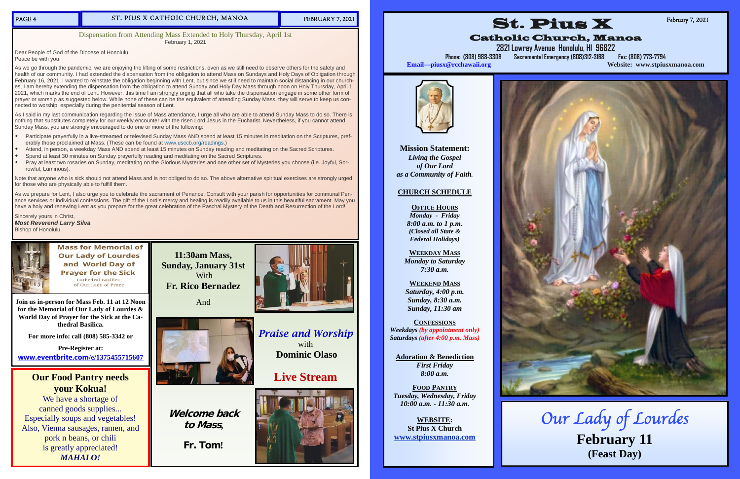## ST. PIUS X CATHOIC CHURCH, MANOA FEBRUARY 7, 2021

**11:30am Mass, Sunday, January 31st** 





# **Live Stream**



**Welcome back** 

**to Mass,** 

**Fr. Tom!** 

**Join us in-person for Mass Feb. 11 at 12 Noon for the Memorial of Our Lady of Lourdes & World Day of Prayer for the Sick at the Cathedral Basilica.** 

**For more info: call (808) 585-3342 or** 

**Pre-Register at: www.eventbrite.com/e/1375455715607** 

# **Our Food Pantry needs your Kokua!**

We have a shortage of canned goods supplies... Especially soups and vegetables! Also, Vienna sausages, ramen, and pork n beans, or chili is greatly appreciated! *MAHALO!* 

Dispensation from Attending Mass Extended to Holy Thursday, April 1st February 1, 2021

Dear People of God of the Diocese of Honolulu, Peace be with you!

As we go through the pandemic, we are enjoying the lifting of some restrictions, even as we still need to observe others for the safety and health of our community. I had extended the dispensation from the obligation to attend Mass on Sundays and Holy Days of Obligation through February 16, 2021. I wanted to reinstate the obligation beginning with Lent, but since we still need to maintain social distancing in our churches, I am hereby extending the dispensation from the obligation to attend Sunday and Holy Day Mass through noon on Holy Thursday, April 1, 2021, which marks the end of Lent. However, this time I am strongly urging that all who take the dispensation engage in some other form of prayer or worship as suggested below. While none of these can be the equivalent of attending Sunday Mass, they will serve to keep us connected to worship, especially during the penitential season of Lent.

- $\bullet$  Participate prayerfully in a live-streamed or televised Sunday Mass AND spend at least 15 minutes in meditation on the Scriptures, preferably those proclaimed at Mass. (These can be found at www.usccb.org/readings.)
- $\bullet$ Attend, in person, a weekday Mass AND spend at least 15 minutes on Sunday reading and meditating on the Sacred Scriptures.
- $\bullet$ Spend at least 30 minutes on Sunday prayerfully reading and meditating on the Sacred Scriptures.
- $\bullet$  Pray at least two rosaries on Sunday, meditating on the Glorious Mysteries and one other set of Mysteries you choose (i.e. Joyful, Sorrowful, Luminous).

As I said in my last communication regarding the issue of Mass attendance, I urge all who are able to attend Sunday Mass to do so. There is nothing that substitutes completely for our weekly encounter with the risen Lord Jesus in the Eucharist. Nevertheless, if you cannot attend Sunday Mass, you are strongly encouraged to do one or more of the following:

Note that anyone who is sick should not attend Mass and is not obliged to do so. The above alternative spiritual exercises are strongly urged for those who are physically able to fulfill them.

As we prepare for Lent, I also urge you to celebrate the sacrament of Penance. Consult with your parish for opportunities for communal Penance services or individual confessions. The gift of the Lord's mercy and healing is readily available to us in this beautiful sacrament. May you have a holy and renewing Lent as you prepare for the great celebration of the Paschal Mystery of the Death and Resurrection of the Lord!

Sincerely yours in Christ, *Most Reverend Larry Silva* Bishop of Honolulu



**Mass for Memorial of Our Lady of Lourdes** and World Day of **Prayer for the Sick** Cathedral Basilica of Our Lady of Peace

**Mission Statement:**  *Living the Gospel of Our Lord as a Community of Faith.* 

# **CHURCH SCHEDULE**

**OFFICE HOURS***Monday - Friday 8:00 a.m. to 1 p.m. (Closed all State & Federal Holidays)* 

**WEEKDAY MASS** *Monday to Saturday 7:30 a.m.* 

**WEEKEND MASS***Saturday, 4:00 p.m. Sunday, 8:30 a.m. Sunday, 11:30 am* 

**CONFESSIONS***Weekdays (by appointment only) Saturdays (after 4:00 p.m. Mass)* 

**Adoration & Benediction**  *First Friday 8:00 a.m.* 

**FOOD PANTRY***Tuesday, Wednesday, Friday 10:00 a.m. - 11:30 a.m.* 

**WEBSITE: St Pius X Church www.stpiusxmanoa.com** 



# Catholic Church, Manoa

**2821 Lowrey Avenue Honolulu, HI 96822 Phone: (808) 988-3308 Sacramental Emergency (808)312-3168 Fax: (808) 773-7794 Email—piusx@rcchawaii.org Website: www.stpiusxmanoa.com**

February 7, 2021



Our Lady of Lourdes **February 11 (Feast Day)**